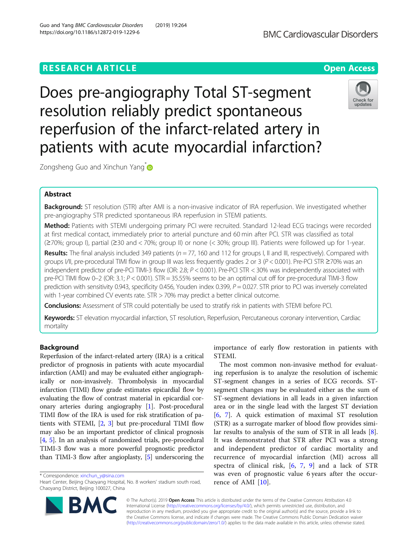https://doi.org/10.1186/s12872-019-1229-6

# **RESEARCH ARTICLE Example 2014 12:30 The Open Access**

Does pre-angiography Total ST-segment resolution reliably predict spontaneous reperfusion of the infarct-related artery in patients with acute myocardial infarction?

Zongsheng Guo and Xinchun Yang<sup>[\\*](http://orcid.org/0000-0002-0584-2499)</sup>

# Abstract

Background: ST resolution (STR) after AMI is a non-invasive indicator of IRA reperfusion. We investigated whether pre-angiography STR predicted spontaneous IRA reperfusion in STEMI patients.

Method: Patients with STEMI undergoing primary PCI were recruited. Standard 12-lead ECG tracings were recorded at first medical contact, immediately prior to arterial puncture and 60 min after PCI. STR was classified as total (≥70%; group I), partial (≥30 and < 70%; group II) or none (< 30%; group III). Patients were followed up for 1-year.

Results: The final analysis included 349 patients ( $n = 77$ , 160 and 112 for groups I, II and III, respectively). Compared with groups I/II, pre-procedural TIMI flow in group III was less frequently grades 2 or 3 (P < 0.001). Pre-PCI STR ≥70% was an independent predictor of pre-PCI TIMI-3 flow (OR: 2.8; P < 0.001). Pre-PCI STR < 30% was independently associated with pre-PCI TIMI flow 0–2 (OR: 3.1;  $P < 0.001$ ). STR = 35.55% seems to be an optimal cut off for pre-procedural TIMI-3 flow prediction with sensitivity 0.943, specificity 0.456, Youden index 0.399,  $P = 0.027$ . STR prior to PCI was inversely correlated with 1-year combined CV events rate. STR > 70% may predict a better clinical outcome.

Conclusions: Assessment of STR could potentially be used to stratify risk in patients with STEMI before PCI.

Keywords: ST elevation myocardial infarction, ST resolution, Reperfusion, Percutaneous coronary intervention, Cardiac mortality

STEMI.

# Background

Reperfusion of the infarct-related artery (IRA) is a critical predictor of prognosis in patients with acute myocardial infarction (AMI) and may be evaluated either angiographically or non-invasively. Thrombolysis in myocardial infarction (TIMI) flow grade estimates epicardial flow by evaluating the flow of contrast material in epicardial coronary arteries during angiography [[1\]](#page-6-0). Post-procedural TIMI flow of the IRA is used for risk stratification of patients with STEMI, [\[2,](#page-6-0) [3\]](#page-6-0) but pre-procedural TIMI flow may also be an important predictor of clinical prognosis [[4,](#page-6-0) [5](#page-6-0)]. In an analysis of randomized trials, pre-procedural TIMI-3 flow was a more powerful prognostic predictor than TIMI-3 flow after angioplasty, [\[5](#page-6-0)] underscoring the

\* Correspondence: [xinchun\\_y@sina.com](mailto:xinchun_y@sina.com)



lar results to analysis of the sum of STR in all leads [\[8](#page-6-0)]. It was demonstrated that STR after PCI was a strong and independent predictor of cardiac mortality and recurrence of myocardial infarction (MI) across all spectra of clinical risk,  $[6, 7, 9]$  $[6, 7, 9]$  $[6, 7, 9]$  $[6, 7, 9]$  $[6, 7, 9]$  $[6, 7, 9]$  $[6, 7, 9]$  and a lack of STR was even of prognostic value 6 years after the occurrence of AMI [\[10](#page-6-0)].

importance of early flow restoration in patients with

The most common non-invasive method for evaluating reperfusion is to analyze the resolution of ischemic ST-segment changes in a series of ECG records. STsegment changes may be evaluated either as the sum of ST-segment deviations in all leads in a given infarction



© The Author(s). 2019 Open Access This article is distributed under the terms of the Creative Commons Attribution 4.0 International License [\(http://creativecommons.org/licenses/by/4.0/](http://creativecommons.org/licenses/by/4.0/)), which permits unrestricted use, distribution, and reproduction in any medium, provided you give appropriate credit to the original author(s) and the source, provide a link to the Creative Commons license, and indicate if changes were made. The Creative Commons Public Domain Dedication waiver [\(http://creativecommons.org/publicdomain/zero/1.0/](http://creativecommons.org/publicdomain/zero/1.0/)) applies to the data made available in this article, unless otherwise stated.



Heart Center, Beijing Chaoyang Hospital, No. 8 workers' stadium south road, Chaoyang District, Beijing 100027, China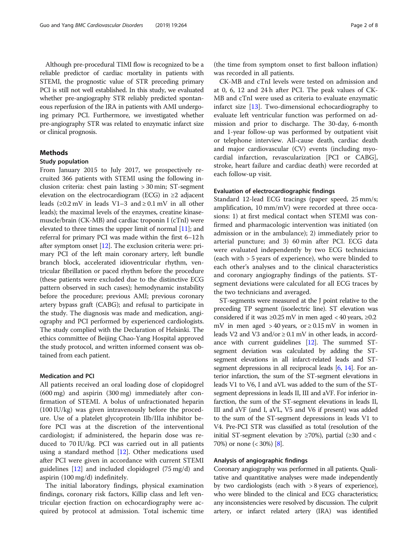Although pre-procedural TIMI flow is recognized to be a reliable predictor of cardiac mortality in patients with STEMI, the prognostic value of STR preceding primary PCI is still not well established. In this study, we evaluated whether pre-angiography STR reliably predicted spontaneous reperfusion of the IRA in patients with AMI undergoing primary PCI. Furthermore, we investigated whether pre-angiography STR was related to enzymatic infarct size or clinical prognosis.

# Methods

## Study population

From January 2015 to July 2017, we prospectively recruited 366 patients with STEMI using the following inclusion criteria: chest pain lasting > 30 min; ST-segment elevation on the electrocardiogram (ECG) in ≥2 adjacent leads (≥0.2 mV in leads V1–3 and ≥ 0.1 mV in all other leads); the maximal levels of the enzymes, creatine kinasemuscle/brain (CK-MB) and cardiac troponin I (cTnI) were elevated to three times the upper limit of normal [\[11\]](#page-6-0); and referral for primary PCI was made within the first 6–12 h after symptom onset [[12](#page-6-0)]. The exclusion criteria were: primary PCI of the left main coronary artery, left bundle branch block, accelerated idioventricular rhythm, ventricular fibrillation or paced rhythm before the procedure (these patients were excluded due to the distinctive ECG pattern observed in such cases); hemodynamic instability before the procedure; previous AMI; previous coronary artery bypass graft (CABG); and refusal to participate in the study. The diagnosis was made and medication, angiography and PCI performed by experienced cardiologists. The study complied with the Declaration of Helsinki. The ethics committee of Beijing Chao-Yang Hospital approved the study protocol, and written informed consent was obtained from each patient.

# Medication and PCI

All patients received an oral loading dose of clopidogrel (600 mg) and aspirin (300 mg) immediately after confirmation of STEMI. A bolus of unfractionated heparin (100 IU/kg) was given intravenously before the procedure. Use of a platelet glycoprotein IIb/IIIa inhibitor before PCI was at the discretion of the interventional cardiologist; if administered, the heparin dose was reduced to 70 IU/kg. PCI was carried out in all patients using a standard method  $[12]$ . Other medications used after PCI were given in accordance with current STEMI guidelines [\[12\]](#page-6-0) and included clopidogrel (75 mg/d) and aspirin (100 mg/d) indefinitely.

The initial laboratory findings, physical examination findings, coronary risk factors, Killip class and left ventricular ejection fraction on echocardiography were acquired by protocol at admission. Total ischemic time

(the time from symptom onset to first balloon inflation) was recorded in all patients.

CK-MB and cTnI levels were tested on admission and at 0, 6, 12 and 24 h after PCI. The peak values of CK-MB and cTnI were used as criteria to evaluate enzymatic infarct size [\[13\]](#page-6-0). Two-dimensional echocardiography to evaluate left ventricular function was performed on admission and prior to discharge. The 30-day, 6-month and 1-year follow-up was performed by outpatient visit or telephone interview. All-cause death, cardiac death and major cardiovascular (CV) events (including myocardial infarction, revascularization [PCI or CABG], stroke, heart failure and cardiac death) were recorded at each follow-up visit.

# Evaluation of electrocardiographic findings

Standard 12-lead ECG tracings (paper speed, 25 mm/s; amplification, 10 mm/mV) were recorded at three occasions: 1) at first medical contact when STEMI was confirmed and pharmacologic intervention was initiated (on admission or in the ambulance); 2) immediately prior to arterial puncture; and 3) 60 min after PCI. ECG data were evaluated independently by two ECG technicians (each with > 5 years of experience), who were blinded to each other's analyses and to the clinical characteristics and coronary angiography findings of the patients. STsegment deviations were calculated for all ECG traces by the two technicians and averaged.

ST-segments were measured at the J point relative to the preceding TP segment (isoelectric line). ST elevation was considered if it was  $\geq 0.25$  mV in men aged < 40 years,  $\geq 0.2$ mV in men aged > 40 years, or  $\geq 0.15$  mV in women in leads V2 and V3 and/or  $\geq$  0.1 mV in other leads, in accordance with current guidelines [[12](#page-6-0)]. The summed STsegment deviation was calculated by adding the STsegment elevations in all infarct-related leads and ST-segment depressions in all reciprocal leads [[6,](#page-6-0) [14](#page-6-0)]. For anterior infarction, the sum of the ST-segment elevations in leads V1 to V6, I and aVL was added to the sum of the STsegment depressions in leads II, III and aVF. For inferior infarction, the sum of the ST-segment elevations in leads II, III and aVF (and I, aVL, V5 and V6 if present) was added to the sum of the ST-segment depressions in leads V1 to V4. Pre-PCI STR was classified as total (resolution of the initial ST-segment elevation by  $\geq 70\%$ ), partial ( $\geq 30$  and < 70%) or none  $($  < 30%)  $[8]$  $[8]$  $[8]$ .

# Analysis of angiographic findings

Coronary angiography was performed in all patients. Qualitative and quantitative analyses were made independently by two cardiologists (each with  $> 8$  years of experience), who were blinded to the clinical and ECG characteristics; any inconsistencies were resolved by discussion. The culprit artery, or infarct related artery (IRA) was identified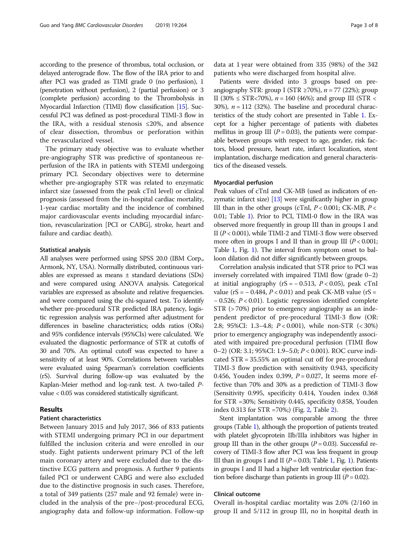according to the presence of thrombus, total occlusion, or delayed anterograde flow. The flow of the IRA prior to and after PCI was graded as TIMI grade 0 (no perfusion), 1 (penetration without perfusion), 2 (partial perfusion) or 3 (complete perfusion) according to the Thrombolysis in Myocardial Infarction (TIMI) flow classification [[15](#page-6-0)]. Successful PCI was defined as post-procedural TIMI-3 flow in the IRA, with a residual stenosis ≤20%, and absence of clear dissection, thrombus or perforation within the revascularized vessel.

The primary study objective was to evaluate whether pre-angiography STR was predictive of spontaneous reperfusion of the IRA in patients with STEMI undergoing primary PCI. Secondary objectives were to determine whether pre-angiography STR was related to enzymatic infarct size (assessed from the peak cTnI level) or clinical prognosis (assessed from the in-hospital cardiac mortality, 1-year cardiac mortality and the incidence of combined major cardiovascular events including myocardial infarction, revascularization [PCI or CABG], stroke, heart and failure and cardiac death).

## Statistical analysis

All analyses were performed using SPSS 20.0 (IBM Corp., Armonk, NY, USA). Normally distributed, continuous variables are expressed as means ± standard deviations (SDs) and were compared using ANOVA analysis. Categorical variables are expressed as absolute and relative frequencies. and were compared using the chi-squared test. To identify whether pre-procedural STR predicted IRA patency, logistic regression analysis was performed after adjustment for differences in baseline characteristics; odds ratios (ORs) and 95% confidence intervals (95%CIs) were calculated. We evaluated the diagnostic performance of STR at cutoffs of 30 and 70%. An optimal cutoff was expected to have a sensitivity of at least 90%. Correlations between variables were evaluated using Spearman's correlation coefficients (rS). Survival during follow-up was evaluated by the Kaplan-Meier method and log-rank test. A two-tailed Pvalue < 0.05 was considered statistically significant.

# Results

# Patient characteristics

Between January 2015 and July 2017, 366 of 833 patients with STEMI undergoing primary PCI in our department fulfilled the inclusion criteria and were enrolled in our study. Eight patients underwent primary PCI of the left main coronary artery and were excluded due to the distinctive ECG pattern and prognosis. A further 9 patients failed PCI or underwent CABG and were also excluded due to the distinctive prognosis in such cases. Therefore, a total of 349 patients (257 male and 92 female) were included in the analysis of the pre−/post-procedural ECG, angiography data and follow-up information. Follow-up

data at 1 year were obtained from 335 (98%) of the 342 patients who were discharged from hospital alive.

Patients were divided into 3 groups based on preangiography STR: group I (STR  $\geq$ 70%),  $n = 77$  (22%); group II (30%  $\leq$  STR<70%),  $n = 160$  (46%); and group III (STR < 30%),  $n = 112$  (32%). The baseline and procedural characteristics of the study cohort are presented in Table [1](#page-3-0). Except for a higher percentage of patients with diabetes mellitus in group III ( $P = 0.03$ ), the patients were comparable between groups with respect to age, gender, risk factors, blood pressure, heart rate, infarct localization, stent implantation, discharge medication and general characteristics of the diseased vessels.

### Myocardial perfusion

Peak values of cTnI and CK-MB (used as indicators of enzymatic infarct size) [[13](#page-6-0)] were significantly higher in group III than in the other groups (cTnI,  $P < 0.001$ ; CK-MB,  $P <$ 0.01; Table [1](#page-3-0)). Prior to PCI, TIMI-0 flow in the IRA was observed more frequently in group III than in groups I and II ( $P < 0.001$ ), while TIMI-2 and TIMI-3 flow were observed more often in groups I and II than in group III  $(P < 0.001$ ; Table [1](#page-3-0), Fig. [1](#page-3-0)). The interval from symptom onset to balloon dilation did not differ significantly between groups.

Correlation analysis indicated that STR prior to PCI was inversely correlated with impaired TIMI flow (grade 0–2) at initial angiography ( $rS = -0.513$ ,  $P < 0.05$ ), peak cTnI value ( $rS = -0.484$ ,  $P < 0.01$ ) and peak CK-MB value ( $rS =$ − 0.526; P < 0.01). Logistic regression identified complete STR (> 70%) prior to emergency angiography as an independent predictor of pre-procedural TIMI-3 flow (OR: 2.8; 95%CI: 1.3–4.8; P < 0.001), while non-STR (< 30%) prior to emergency angiography was independently associated with impaired pre-procedural perfusion (TIMI flow 0–2) (OR: 3.1; 95%CI: 1.9–5.0; P < 0.001). ROC curve indicated STR = 35.55% an optimal cut off for pre-procedural TIMI-3 flow prediction with sensitivity 0.943, specificity 0.456, Youden index 0.399,  $P = 0.027$ , It seems more effective than 70% and 30% as a prediction of TIMI-3 flow (Sensitivity 0.995, specificity 0.414, Youden index 0.368 for STR =30%; Sensitivity 0.445, specificity 0.858, Youden index 0.313 for STR =70%;) (Fig. [2,](#page-4-0) Table [2\)](#page-4-0).

Stent implantation was comparable among the three groups (Table [1\)](#page-3-0), although the proportion of patients treated with platelet glycoprotein IIb/IIIa inhibitors was higher in group III than in the other groups ( $P = 0.03$ ). Successful recovery of TIMI-3 flow after PCI was less frequent in group III than in groups I and II ( $P = 0.03$ ; Table [1,](#page-3-0) Fig. [1](#page-3-0)). Patients in groups I and II had a higher left ventricular ejection fraction before discharge than patients in group III ( $P = 0.02$ ).

# Clinical outcome

Overall in-hospital cardiac mortality was 2.0% (2/160 in group II and 5/112 in group III, no in hospital death in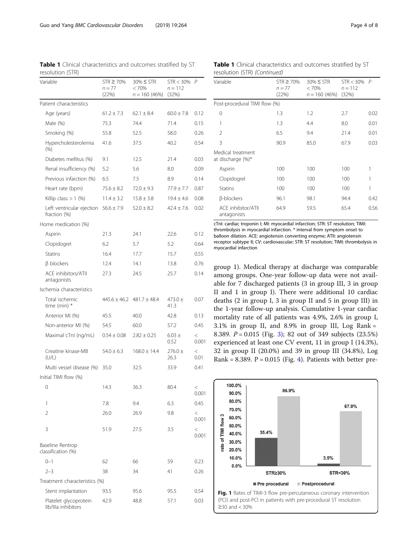| Variable                                     | $STR \geq 70\%$<br>n = 77<br>(22%) | $30\% \leq$ STR<br>< 70%<br>$n = 160(46%)$ | $STR < 30\%$<br>$n = 112$<br>(32%) | P                |
|----------------------------------------------|------------------------------------|--------------------------------------------|------------------------------------|------------------|
| Patient characteristics                      |                                    |                                            |                                    |                  |
| Age (years)                                  | $61.2 \pm 7.3$                     | $62.1 \pm 8.4$                             | $60.0 \pm 7.8$                     | 0.12             |
| Male (%)                                     | 75.3                               | 74.4                                       | 71.4                               | 0.15             |
| Smoking (%)                                  | 55.8                               | 52.5                                       | 58.0                               | 0.26             |
| Hypercholesterolemia<br>(% )                 | 41.6                               | 37.5                                       | 40.2                               | 0.54             |
| Diabetes mellitus (%)                        | 9.1                                | 12.5                                       | 21.4                               | 0.03             |
| Renal insufficiency (%)                      | 5.2                                | 5.6                                        | 8.0                                | 0.09             |
| Previous infarction (%)                      | 6.5                                | 7.5                                        | 8.9                                | 0.14             |
| Heart rate (bpm)                             | $75.6 \pm 8.2$                     | $72.0 \pm 9.3$                             | $77.9 \pm 7.7$                     | 0.87             |
| Killip class $> 1$ (%)                       | $11.4 \pm 3.2$                     | $15.8 \pm 3.8$                             | $19.4 \pm 4.6$                     | 0.08             |
| Left ventricular ejection<br>fraction (%)    | $56.6 \pm 7.9$                     | $52.0 \pm 8.2$                             | $42.4 \pm 7.6$                     | 0.02             |
| Home medication (%)                          |                                    |                                            |                                    |                  |
| Aspirin                                      | 21.3                               | 24.1                                       | 22.6                               | 0.12             |
| Clopidogrel                                  | 6.2                                | 5.7                                        | 5.2                                | 0.64             |
| <b>Statins</b>                               | 16.4                               | 17.7                                       | 15.7                               | 0.55             |
| $\beta$ blockers                             | 12.4                               | 14.1                                       | 13.8                               | 0.76             |
| <b>ACE inhibitors/ATII</b><br>antagonists    | 27.3                               | 24.5                                       | 25.7                               | 0.14             |
| Ischemia characteristics                     |                                    |                                            |                                    |                  |
| Total ischemic<br>time (min) $*$             |                                    | $445.6 \pm 46.2$ $481.7 \pm 48.4$          | 473.0 $\pm$<br>41.3                | 0.07             |
| Anterior MI (%)                              | 45.5                               | 40.0                                       | 42.8                               | 0.13             |
| Non-anterior MI (%)                          | 54.5                               | 60.0                                       | 57.2                               | 0.45             |
| Maximal cTnl (ng/mL)                         | $0.54 \pm 0.08$                    | $2.82 \pm 0.25$                            | $6.03 \pm$<br>0.52                 | $\,<\,$<br>0.001 |
| Creatine kinase-MB<br>(U/L)                  | $54.0 \pm 6.3$                     | $168.0 \pm 14.4$                           | $276.0 \pm$<br>26.3                | $\,<$<br>0.01    |
| Multi vessel disease (%)                     | 35.0                               | 32.5                                       | 33.9                               | 0.41             |
| Initial TIMI flow (%)                        |                                    |                                            |                                    |                  |
| 0                                            | 14.3                               | 36.3                                       | 80.4                               | $\leq$<br>0.001  |
| 1                                            | 7.8                                | 9.4                                        | 6.3                                | 0.45             |
| 2                                            | 26.0                               | 26.9                                       | 9.8                                | $\,<\,$<br>0.001 |
| 3                                            | 51.9                               | 27.5                                       | 3.5                                | $\,<$<br>0.001   |
| Baseline Rentrop<br>classification (%)       |                                    |                                            |                                    |                  |
| $0 - 1$                                      | 62                                 | 66                                         | 59                                 | 0.23             |
| $2 - 3$                                      | 38                                 | 34                                         | 41                                 | 0.26             |
| Treatment characteristics (%)                |                                    |                                            |                                    |                  |
| Stent implantation                           | 93.5                               | 95.6                                       | 95.5                               | 0.54             |
| Platelet glycoprotein<br>Ilb/Illa inhibitors | 42.9                               | 48.8                                       | 57.1                               | 0.03             |

<span id="page-3-0"></span>Table 1 Clinical characteristics and outcomes stratified by ST resolution (STR)

|  | Table 1 Clinical characteristics and outcomes stratified by ST |  |  |  |
|--|----------------------------------------------------------------|--|--|--|
|  | resolution (STR) (Continued)                                   |  |  |  |

| Variable                               | $STR \geq 70\%$<br>$n = 77$<br>(22%) | $30\% \leq$ STR<br>< 70%<br>$n = 160(46%)$ | $STR < 30\%$ $P$<br>$n = 112$<br>(32%) |      |
|----------------------------------------|--------------------------------------|--------------------------------------------|----------------------------------------|------|
| Post-procedural TIMI flow (%)          |                                      |                                            |                                        |      |
| 0                                      | 1.3                                  | 1.2                                        | 2.7                                    | 0.02 |
| 1                                      | 1.3                                  | 4.4                                        | 8.0                                    | 0.01 |
| 2                                      | 6.5                                  | 9.4                                        | 21.4                                   | 0.01 |
| 3                                      | 90.9                                 | 85.0                                       | 67.9                                   | 0.03 |
| Medical treatment<br>at discharge (%)* |                                      |                                            |                                        |      |
| Aspirin                                | 100                                  | 100                                        | 100                                    | 1    |
| Clopidogrel                            | 100                                  | 100                                        | 100                                    | 1    |
| <b>Statins</b>                         | 100                                  | 100                                        | 100                                    | 1    |
| β-blockers                             | 96.1                                 | 98.1                                       | 94.4                                   | 0.42 |
| ACE inhibitor/ATII<br>antagonists      | 64.9                                 | 59.5                                       | 65.4                                   | 0.56 |

cTnI: cardiac troponin I; MI: myocardial infarction; STR: ST resolution; TIMI: thrombolysis in myocardial infarction. \* interval from symptom onset to balloon dilation. ACE: angiotensin converting enzyme; ATII: angiotensin receptor subtype II; CV: cardiovascular; STR: ST resolution; TIMI: thrombolysis in myocardial infarction

group 1). Medical therapy at discharge was comparable among groups. One-year follow-up data were not available for 7 discharged patients (3 in group III, 3 in group II and 1 in group I). There were additional 10 cardiac deaths (2 in group I, 3 in group II and 5 in group III) in the 1-year follow-up analysis. Cumulative 1-year cardiac mortality rate of all patients was 4.9%, 2.6% in group I, 3.1% in group II, and 8.9% in group III, Log Rank = 8.389. P = 0.015 (Fig. [3](#page-5-0)); 82 out of 349 subjects (23.5%) experienced at least one CV event, 11 in group I (14.3%), 32 in group II (20.0%) and 39 in group III (34.8%), Log Rank =  $8.389$ . P =  $0.015$  (Fig. [4\)](#page-5-0). Patients with better pre-

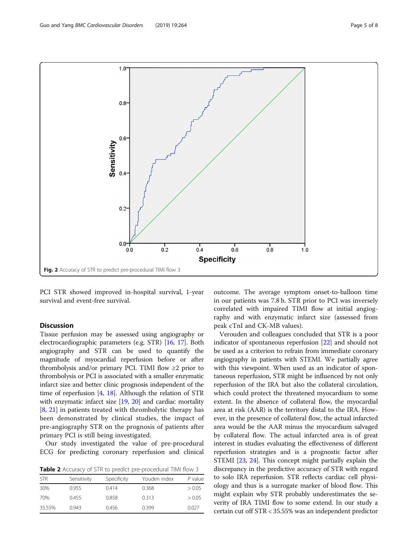<span id="page-4-0"></span>

PCI STR showed improved in-hospital survival, 1-year survival and event-free survival.

# **Discussion**

Tissue perfusion may be assessed using angiography or electrocardiographic parameters (e.g. STR) [\[16](#page-6-0), [17](#page-7-0)]. Both angiography and STR can be used to quantify the magnitude of myocardial reperfusion before or after thrombolysis and/or primary PCI. TIMI flow  $\geq 2$  prior to thrombolysis or PCI is associated with a smaller enzymatic infarct size and better clinic prognosis independent of the time of reperfusion  $[4, 18]$  $[4, 18]$  $[4, 18]$  $[4, 18]$ . Although the relation of STR with enzymatic infarct size [\[19,](#page-7-0) [20](#page-7-0)] and cardiac mortality [[8,](#page-6-0) [21](#page-7-0)] in patients treated with thrombolytic therapy has been demonstrated by clinical studies, the impact of pre-angiography STR on the prognosis of patients after primary PCI is still being investigated.

Our study investigated the value of pre-procedural ECG for predicting coronary reperfusion and clinical

**Table 2** Accuracy of STR to predict pre-procedural TIMI flow 3

| <b>STR</b> | Sensitivity | Specificity | Youden index | $P$ value |
|------------|-------------|-------------|--------------|-----------|
| 30%        | 0.955       | 0.414       | 0.368        | > 0.05    |
| 70%        | 0.455       | 0.858       | 0.313        | > 0.05    |
| 35.55%     | 0.943       | 0.456       | 0.399        | 0.027     |

outcome. The average symptom onset-to-balloon time in our patients was 7.8 h. STR prior to PCI was inversely correlated with impaired TIMI flow at initial angiography and with enzymatic infarct size (assessed from peak cTnI and CK-MB values).

Verouden and colleagues concluded that STR is a poor indicator of spontaneous reperfusion [[22](#page-7-0)] and should not be used as a criterion to refrain from immediate coronary angiography in patients with STEMI. We partially agree with this viewpoint. When used as an indicator of spontaneous reperfusion, STR might be influenced by not only reperfusion of the IRA but also the collateral circulation, which could protect the threatened myocardium to some extent. In the absence of collateral flow, the myocardial area at risk (AAR) is the territory distal to the IRA. However, in the presence of collateral flow, the actual infarcted area would be the AAR minus the myocardium salvaged by collateral flow. The actual infarcted area is of great interest in studies evaluating the effectiveness of different reperfusion strategies and is a prognostic factor after STEMI [\[23](#page-7-0), [24](#page-7-0)]. This concept might partially explain the discrepancy in the predictive accuracy of STR with regard to solo IRA reperfusion. STR reflects cardiac cell physiology and thus is a surrogate marker of blood flow. This might explain why STR probably underestimates the severity of IRA TIMI flow to some extend. In our study a certain cut off STR < 35.55% was an independent predictor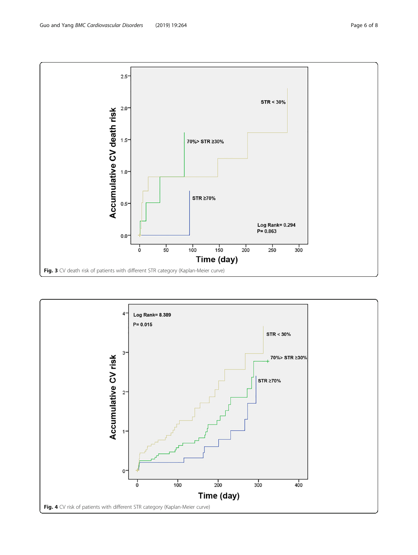<span id="page-5-0"></span>

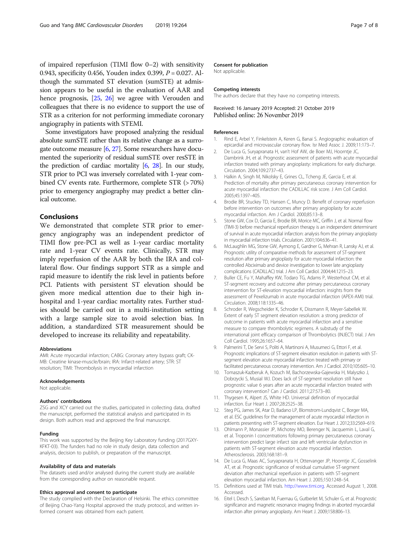<span id="page-6-0"></span>of impaired reperfusion (TIMI flow 0–2) with sensitivity 0.943, specificity 0.456, Youden index 0.399, P = 0.027. Although the summated ST elevation (sumSTE) at admission appears to be useful in the evaluation of AAR and hence prognosis, [\[25](#page-7-0), [26](#page-7-0)] we agree with Verouden and colleagues that there is no evidence to support the use of STR as a criterion for not performing immediate coronary angiography in patients with STEMI.

Some investigators have proposed analyzing the residual absolute sumSTE rather than its relative change as a surrogate outcome measure [6, [27](#page-7-0)]. Some researchers have documented the superiority of residual sumSTE over resSTE in the prediction of cardiac mortality [6, [28\]](#page-7-0). In our study, STR prior to PCI was inversely correlated with 1-year combined CV events rate. Furthermore, complete STR (> 70%) prior to emergency angiography may predict a better clinical outcome.

# Conclusions

We demonstrated that complete STR prior to emergency angiography was an independent predictor of TIMI flow pre-PCI as well as 1-year cardiac mortality rate and 1-year CV events rate. Clinically, STR may imply reperfusion of the AAR by both the IRA and collateral flow. Our findings support STR as a simple and rapid measure to identify the risk level in patients before PCI. Patients with persistent ST elevation should be given more medical attention due to their high inhospital and 1-year cardiac mortality rates. Further studies should be carried out in a multi-institution setting with a large sample size to avoid selection bias. In addition, a standardized STR measurement should be developed to increase its reliability and repeatability.

#### Abbreviations

AMI: Acute myocardial infarction; CABG: Coronary artery bypass graft; CK-MB: Creatine kinase-muscle/brain; IRA: Infarct-related artery; STR: ST resolution; TIMI: Thrombolysis in myocardial infarction

#### Acknowledgements

Not applicable.

#### Authors' contributions

ZSG and XCY carried out the studies, participated in collecting data, drafted the manuscript, performed the statistical analysis and participated in its design. Both authors read and approved the final manuscript.

#### Funding

This work was supported by the Beijing Key Laboratory funding (2017GXY-KFKT-03). The funders had no role in study design, data collection and analysis, decision to publish, or preparation of the manuscript.

### Availability of data and materials

The datasets used and/or analysed during the current study are available from the corresponding author on reasonable request.

#### Ethics approval and consent to participate

The study complied with the Declaration of Helsinki. The ethics committee of Beijing Chao-Yang Hospital approved the study protocol, and written informed consent was obtained from each patient.

### Consent for publication

Not applicable.

#### Competing interests

The authors declare that they have no competing interests.

### Received: 16 January 2019 Accepted: 21 October 2019 Published online: 26 November 2019

#### References

- 1. Rind E, Arbel Y, Finkelstein A, Keren G, Banai S. Angiographic evaluation of epicardial and microvascular coronary flow. Isr Med Assoc J. 2009;11:173–7.
- 2. De Luca G, Suryapranata H, van't Hof AW, de Boer MJ, Hoorntje JC, Dambrink JH, et al. Prognostic assessment of patients with acute myocardial infarction treated with primary angioplasty: implications for early discharge. Circulation. 2004;109:2737–43.
- 3. Halkin A, Singh M, Nikolsky E, Grines CL, Tcheng JE, Garcia E, et al. Prediction of mortality after primary percutaneous coronary intervention for acute myocardial infarction: the CADILLAC risk score. J Am Coll Cardiol. 2005;45:1397–405.
- 4. Brodie BR, Stuckey TD, Hansen C, Muncy D. Benefit of coronary reperfusion before intervention on outcomes after primary angioplasty for acute myocardial infarction. Am J Cardiol. 2000;85:13–8.
- 5. Stone GW, Cox D, Garcia E, Brodie BR, Morice MC, Griffin J, et al. Normal flow (TIMI-3) before mechanical reperfusion therapy is an independent determinant of survival in acute myocardial infarction: analysis from the primary angioplasty in myocardial infarction trials. Circulation. 2001;104:636–41.
- 6. McLaughlin MG, Stone GW, Aymong E, Gardner G, Mehran R, Lansky AJ, et al. Prognostic utility of comparative methods for assessment of ST-segment resolution after primary angioplasty for acute myocardial infarction: the controlled Abciximab and device investigation to lower late angioplasty complications (CADILLAC) trial. J Am Coll Cardiol. 2004;44:1215–23.
- 7. Buller CE, Fu Y, Mahaffey KW, Todaro TG, Adams P, Westerhout CM, et al. ST-segment recovery and outcome after primary percutaneous coronary intervention for ST-elevation myocardial infarction: insights from the assessment of Pexelizumab in acute myocardial infarction (APEX-AMI) trial. Circulation. 2008;118:1335–46.
- 8. Schroder R, Wegscheider K, Schroder K, Dissmann R, Meyer-Sabellek W. Extent of early ST segment elevation resolution: a strong predictor of outcome in patients with acute myocardial infarction and a sensitive measure to compare thrombolytic regimens. A substudy of the international joint efficacy comparison of Thrombolytics (INJECT) trial. J Am Coll Cardiol. 1995;26:1657–64.
- 9. Palmerini T, De Servi S, Politi A, Martinoni A, Musumeci G, Ettori F, et al. Prognostic implications of ST-segment elevation resolution in patients with STsegment elevation acute myocardial infarction treated with primary or facilitated percutaneous coronary intervention. Am J Cardiol. 2010;105:605–10.
- 10. Tomaszuk-Kazberuk A, Kozuch M, Bachorzewska-Gajewska H, Malyszko J, Dobrzycki S, Musial WJ. Does lack of ST-segment resolution still have prognostic value 6 years after an acute myocardial infarction treated with coronary intervention? Can J Cardiol. 2011;27:573–80.
- 11. Thygesen K, Alpert JS, White HD. Universal definition of myocardial infarction. Eur Heart J. 2007;28:2525–38.
- 12. Steg PG, James SK, Atar D, Badano LP, Blomstrom-Lundqvist C, Borger MA, et al. ESC guidelines for the management of acute myocardial infarction in patients presenting with ST-segment elevation. Eur Heart J. 2012;33:2569–619.
- 13. Ohlmann P, Monassier JP, Michotey MO, Berenger N, Jacquemin L, Laval G, et al. Troponin I concentrations following primary percutaneous coronary intervention predict large infarct size and left ventricular dysfunction in patients with ST-segment elevation acute myocardial infarction. Atherosclerosis. 2003;168:181–9.
- 14. De Luca G, Maas AC, Suryapranata H, Ottervanger JP, Hoorntje JC, Gosselink AT, et al. Prognostic significance of residual cumulative ST-segment deviation after mechanical reperfusion in patients with ST-segment elevation myocardial infarction. Am Heart J. 2005;150:1248–54.
- 15. Definitions used at TIMI trials. <http://www.timi.org>. Accessed August 1, 2008. Accessed.
- 16. Eitel I, Desch S, Sareban M, Fuernau G, Gutberlet M, Schuler G, et al. Prognostic significance and magnetic resonance imaging findings in aborted myocardial infarction after primary angioplasty. Am Heart J. 2009;158:806–13.